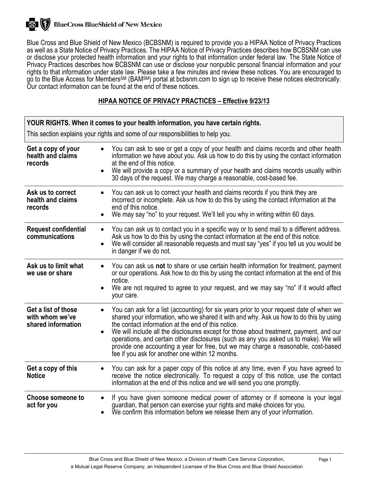

Blue Cross and Blue Shield of New Mexico (BCBSNM) is required to provide you a HIPAA Notice of Privacy Practices as well as a State Notice of Privacy Practices. The HIPAA Notice of Privacy Practices describes how BCBSNM can use or disclose your protected health information and your rights to that information under federal law. The State Notice of Privacy Practices describes how BCBSNM can use or disclose your nonpublic personal financial information and your rights to that information under state law. Please take a few minutes and review these notices. You are encouraged to go to the Blue Access for Members<sup>SM</sup> (BAM<sup>SM</sup>) portal at bcbsnm.com to sign up to receive these notices electronically. Our contact information can be found at the end of these notices.

# **HIPAA NOTICE OF PRIVACY PRACTICES – Effective 9/23/13**

| YOUR RIGHTS. When it comes to your health information, you have certain rights. |                                                                                                                                                                                                                                                                                                                                                                                                                                                                                                                                                                      |  |
|---------------------------------------------------------------------------------|----------------------------------------------------------------------------------------------------------------------------------------------------------------------------------------------------------------------------------------------------------------------------------------------------------------------------------------------------------------------------------------------------------------------------------------------------------------------------------------------------------------------------------------------------------------------|--|
| This section explains your rights and some of our responsibilities to help you. |                                                                                                                                                                                                                                                                                                                                                                                                                                                                                                                                                                      |  |
| Get a copy of your<br>health and claims<br>records                              | You can ask to see or get a copy of your health and claims records and other health<br>information we have about you. Ask us how to do this by using the contact information<br>at the end of this notice.<br>We will provide a copy or a summary of your health and claims records usually within<br>30 days of the request. We may charge a reasonable, cost-based fee.                                                                                                                                                                                            |  |
| Ask us to correct<br>health and claims<br>records                               | You can ask us to correct your health and claims records if you think they are<br>$\bullet$<br>incorrect or incomplete. Ask us how to do this by using the contact information at the<br>end of this notice.<br>We may say "no" to your request. We'll tell you why in writing within 60 days.<br>$\bullet$                                                                                                                                                                                                                                                          |  |
| <b>Request confidential</b><br>communications                                   | You can ask us to contact you in a specific way or to send mail to a different address.<br>$\bullet$<br>Ask us how to do this by using the contact information at the end of this notice.<br>We will consider all reasonable requests and must say "yes" if you tell us you would be<br>in danger if we do not.                                                                                                                                                                                                                                                      |  |
| Ask us to limit what<br>we use or share                                         | You can ask us not to share or use certain health information for treatment, payment<br>$\bullet$<br>or our operations. Ask how to do this by using the contact information at the end of this<br>notice.<br>We are not required to agree to your request, and we may say "no" if it would affect<br>your care.                                                                                                                                                                                                                                                      |  |
| Get a list of those<br>with whom we've<br>shared information                    | You can ask for a list (accounting) for six years prior to your request date of when we<br>shared your information, who we shared it with and why. Ask us how to do this by using<br>the contact information at the end of this notice.<br>We will include all the disclosures except for those about treatment, payment, and our<br>operations, and certain other disclosures (such as any you asked us to make). We will<br>provide one accounting a year for free, but we may charge a reasonable, cost-based<br>fee if you ask for another one within 12 months. |  |
| Get a copy of this<br><b>Notice</b>                                             | You can ask for a paper copy of this notice at any time, even if you have agreed to<br>receive the notice electronically. To request a copy of this notice, use the contact<br>information at the end of this notice and we will send you one promptly.                                                                                                                                                                                                                                                                                                              |  |
| <b>Choose someone to</b><br>act for you                                         | If you have given someone medical power of attorney or if someone is your legal<br>$\bullet$<br>guardian, that person can exercise your rights and make choices for you.<br>We confirm this information before we release them any of your information.                                                                                                                                                                                                                                                                                                              |  |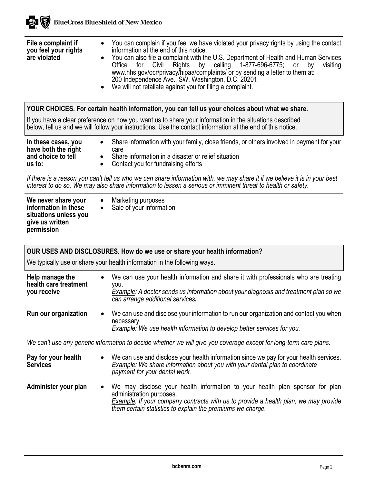| File a complaint if<br>you feel your rights<br>are violated                | $\bullet$ | You can complain if you feel we have violated your privacy rights by using the contact<br>information at the end of this notice.<br>You can also file a complaint with the U.S. Department of Health and Human Services<br>Office for Civil Rights by calling 1-877-696-6775; or<br>by<br>visiting<br>www.hhs.gov/ocr/privacy/hipaa/complaints/ or by sending a letter to them at:<br>200 Independence Ave., SW, Washington, D.C. 20201.<br>• We will not retaliate against you for filing a complaint. |
|----------------------------------------------------------------------------|-----------|---------------------------------------------------------------------------------------------------------------------------------------------------------------------------------------------------------------------------------------------------------------------------------------------------------------------------------------------------------------------------------------------------------------------------------------------------------------------------------------------------------|
|                                                                            |           | YOUR CHOICES. For certain health information, you can tell us your choices about what we share.                                                                                                                                                                                                                                                                                                                                                                                                         |
|                                                                            |           | If you have a clear preference on how you want us to share your information in the situations described<br>below, tell us and we will follow your instructions. Use the contact information at the end of this notice.                                                                                                                                                                                                                                                                                  |
| In these cases, you<br>have both the right<br>and choice to tell<br>us to: |           | Share information with your family, close friends, or others involved in payment for your<br>care<br>Share information in a disaster or relief situation<br>Contact you for fundraising efforts                                                                                                                                                                                                                                                                                                         |
|                                                                            |           | If there is a reason you can't tell us who we can share information with, we may share it if we believe it is in your best<br>interest to do so. We may also share information to lessen a serious or imminent threat to health or safety.                                                                                                                                                                                                                                                              |
| We never share your                                                        |           | Marketing purposes                                                                                                                                                                                                                                                                                                                                                                                                                                                                                      |

| We never share your<br>information in these<br>situations unless you<br>give us written<br>permission |  | Marketing purposes<br>Sale of your information |
|-------------------------------------------------------------------------------------------------------|--|------------------------------------------------|
|-------------------------------------------------------------------------------------------------------|--|------------------------------------------------|

**BlueCross BlueShield of New Mexico** 

【象】

**OUR USES AND DISCLOSURES. How do we use or share your health information?**

We typically use or share your health information in the following ways.

| Help manage the<br>health care treatment<br>you receive | $\bullet$ | We can use your health information and share it with professionals who are treating<br>vou.<br>Example: A doctor sends us information about your diagnosis and treatment plan so we<br>can arrange additional services. |
|---------------------------------------------------------|-----------|-------------------------------------------------------------------------------------------------------------------------------------------------------------------------------------------------------------------------|
| Run our organization                                    | $\bullet$ | We can use and disclose your information to run our organization and contact you when<br>necessary.<br>Example: We use health information to develop better services for you.                                           |

*We can't use any genetic information to decide whether we will give you coverage except for long-term care plans.* 

| Pay for your health<br><b>Services</b> | $\bullet$ | We can use and disclose your health information since we pay for your health services.<br>Example: We share information about you with your dental plan to coordinate<br>payment for your dental work.                                                          |
|----------------------------------------|-----------|-----------------------------------------------------------------------------------------------------------------------------------------------------------------------------------------------------------------------------------------------------------------|
| Administer your plan                   |           | • We may disclose your health information to your health plan sponsor for plan<br>administration purposes.<br>Example: If your company contracts with us to provide a health plan, we may provide<br>them certain statistics to explain the premiums we charge. |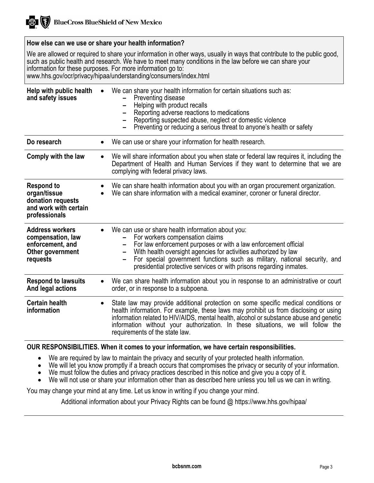

### **How else can we use or share your health information?**

We are allowed or required to share your information in other ways, usually in ways that contribute to the public good, such as public health and research. We have to meet many conditions in the law before we can share your information for these purposes. For more information go to: www.hhs.gov/ocr/privacy/hipaa/understanding/consumers/index.html

**Help with public health and safety issues** We can share your health information for certain situations such as: **–** Preventing disease **–** Helping with product recalls **–** Reporting adverse reactions to medications **–** Reporting suspected abuse, neglect or domestic violence **–** Preventing or reducing a serious threat to anyone's health or safety **Do research • We can use or share your information for health research. Comply with the law** • We will share information about you when state or federal law requires it, including the Department of Health and Human Services if they want to determine that we are complying with federal privacy laws. **Respond to organ/tissue donation requests and work with certain professionals** • We can share health information about you with an organ procurement organization. We can share information with a medical examiner, coroner or funeral director. **Address workers compensation, law enforcement, and Other government requests** We can use or share health information about you:<br>- For workers compensation claims<br>- For law enforcement purposes or with a law enforcement official<br>- With health oversight agencies for activities authorized by law **–** For special government functions such as military, national security, and presidential protective services or with prisons regarding inmates. **Respond to lawsuits And legal actions** • We can share health information about you in response to an administrative or court order, or in response to a subpoena. **Certain health information** State law may provide additional protection on some specific medical conditions or health information. For example, these laws may prohibit us from disclosing or using information related to HIV/AIDS, mental health, alcohol or substance abuse and genetic information without your authorization. In these situations, we will follow the requirements of the state law.

#### **OUR RESPONSIBILITIES. When it comes to your information, we have certain responsibilities.**

- We are required by law to maintain the privacy and security of your protected health information.
- We will let you know promptly if a breach occurs that compromises the privacy or security of your information.
- We must follow the duties and privacy practices described in this notice and give you a copy of it.
- We will not use or share your information other than as described here unless you tell us we can in writing.

You may change your mind at any time. Let us know in writing if you change your mind.

Additional information about your Privacy Rights can be found @ https://www.hhs.gov/hipaa/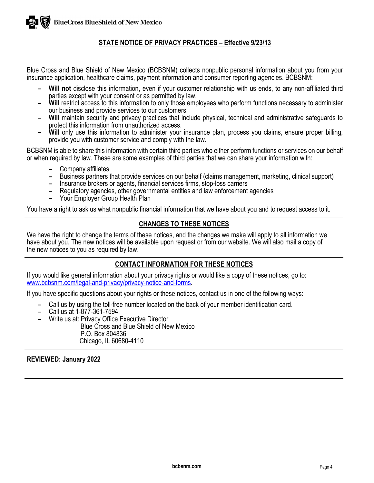## **STATE NOTICE OF PRIVACY PRACTICES – Effective 9/23/13**

Blue Cross and Blue Shield of New Mexico (BCBSNM) collects nonpublic personal information about you from your insurance application, healthcare claims, payment information and consumer reporting agencies. BCBSNM:

- **Will not** disclose this information, even if your customer relationship with us ends, to any non-affiliated third parties except with your consent or as permitted by law.
- **4 Will** restrict access to this information to only those employees who perform functions necessary to administer our business and provide services to our customers.
- our business and provide services to our customers. **– Will** maintain security and privacy practices that include physical, technical and administrative safeguards to
- protect this information from unauthorized access. **– Will** only use this information to administer your insurance plan, process you claims, ensure proper billing, provide you with customer service and comply with the law.

BCBSNM is able to share this information with certain third parties who either perform functions or services on our behalf or when required by law. These are some examples of third parties that we can share your information with:

- **–** Company affiliates
- **–** Business partners that provide services on our behalf (claims management, marketing, clinical support)
- **–** Insurance brokers or agents, financial services firms, stop-loss carriers
- **–** Regulatory agencies, other governmental entities and law enforcement agencies
- **–** Your Employer Group Health Plan

You have a right to ask us what nonpublic financial information that we have about you and to request access to it.

## **CHANGES TO THESE NOTICES**

We have the right to change the terms of these notices, and the changes we make will apply to all information we have about you. The new notices will be available upon request or from our website. We will also mail a copy of the new notices to you as required by law.

### **CONTACT INFORMATION FOR THESE NOTICES**

If you would like general information about your privacy rights or would like a copy of these notices, go to: [www.bcbsnm.com/legal-and-privacy/privacy-notice-and-forms.](https://www.bcbsnm.com/legal-and-privacy/privacy-notice-and-forms)

If you have specific questions about your rights or these notices, contact us in one of the following ways:

- **–** Call us by using the toll-free number located on the back of your member identification card.
- **–** Call us at 1-877-361-7594.
- **–** Write us at: Privacy Office Executive Director

 Blue Cross and Blue Shield of New Mexico P.O. Box 804836 Chicago, IL 60680-4110

#### **REVIEWED: January 2022**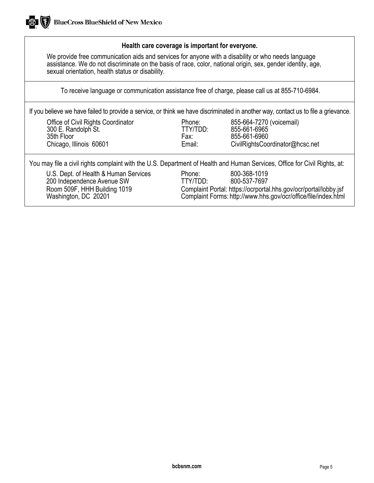### **Health care coverage is important for everyone.**

We provide free communication aids and services for anyone with a disability or who needs language assistance. We do not discriminate on the basis of race, color, national origin, sex, gender identity, age, sexual orientation, health status or disability.

To receive language or communication assistance free of charge, please call us at 855-710-6984.

If you believe we have failed to provide a service, or think we have discriminated in another way, contact us to file a grievance.

Office of Civil Rights Coordinator Phone: 855-664-7270 (voicemail) 300 E. Randolph St. The State of the State of TTY/<br>35th Floor State of Tax: 35th Floor Fax: 855-661-6960

[CivilRightsCoordinator@hcsc.net](mailto:CivilRightsCoordinator@hcsc.net)

You may file a civil rights complaint with the U.S. Department of Health and Human Services, Office for Civil Rights, at:

U.S. Dept. of Health & Human Services Phone: 800-368-1019<br>100 Independence Avenue SW TTY/TDD: 800-537-7697 200 Independence Avenue SW<br>Room 509F, HHH Building 1019

Complaint Portal: https://ocrportal.hhs.gov/ocr/portal/lobby.jsf Washington, DC 20201 Complaint Forms: http:[//www.hhs.gov/ocr/office/file/index.html](http://www.hhs.gov/ocr/office/file/index.html)